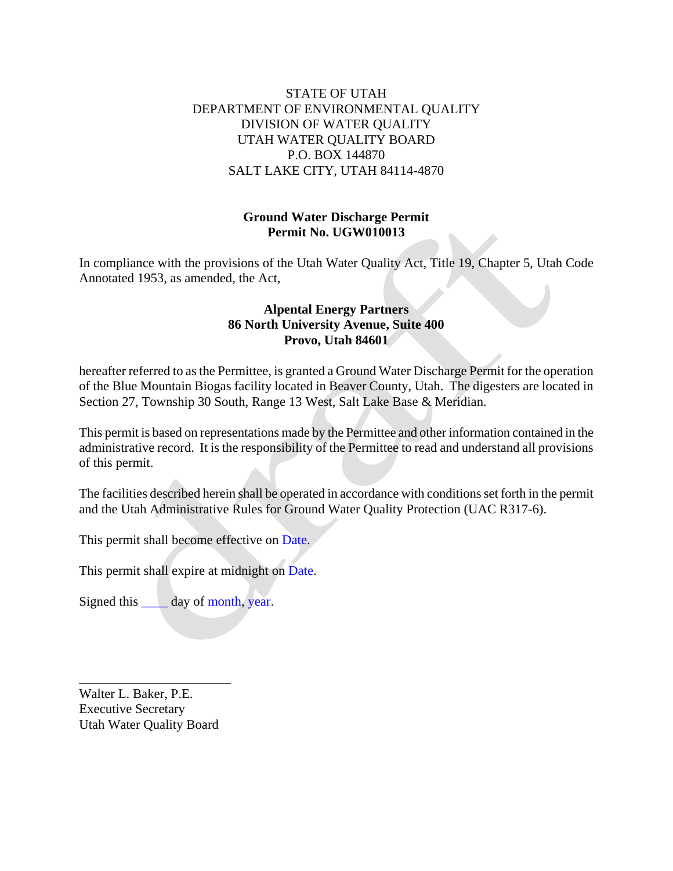# STATE OF UTAH DEPARTMENT OF ENVIRONMENTAL QUALITY DIVISION OF WATER QUALITY UTAH WATER QUALITY BOARD P.O. BOX 144870 SALT LAKE CITY, UTAH 84114-4870

# **Ground Water Discharge Permit Permit No. UGW010013**

In compliance with the provisions of the Utah Water Quality Act, Title 19, Chapter 5, Utah Code Annotated 1953, as amended, the Act,

# **Alpental Energy Partners 86 North University Avenue, Suite 400 Provo, Utah 84601**

hereafter referred to as the Permittee, is granted a Ground Water Discharge Permit for the operation of the Blue Mountain Biogas facility located in Beaver County, Utah. The digesters are located in Section 27, Township 30 South, Range 13 West, Salt Lake Base & Meridian.

This permit is based on representations made by the Permittee and other information contained in the administrative record. It is the responsibility of the Permittee to read and understand all provisions of this permit.

The facilities described herein shall be operated in accordance with conditions set forth in the permit and the Utah Administrative Rules for Ground Water Quality Protection (UAC R317-6).

This permit shall become effective on Date.

This permit shall expire at midnight on Date.

Signed this day of month, year.

Walter L. Baker, P.E. Executive Secretary Utah Water Quality Board

\_\_\_\_\_\_\_\_\_\_\_\_\_\_\_\_\_\_\_\_\_\_\_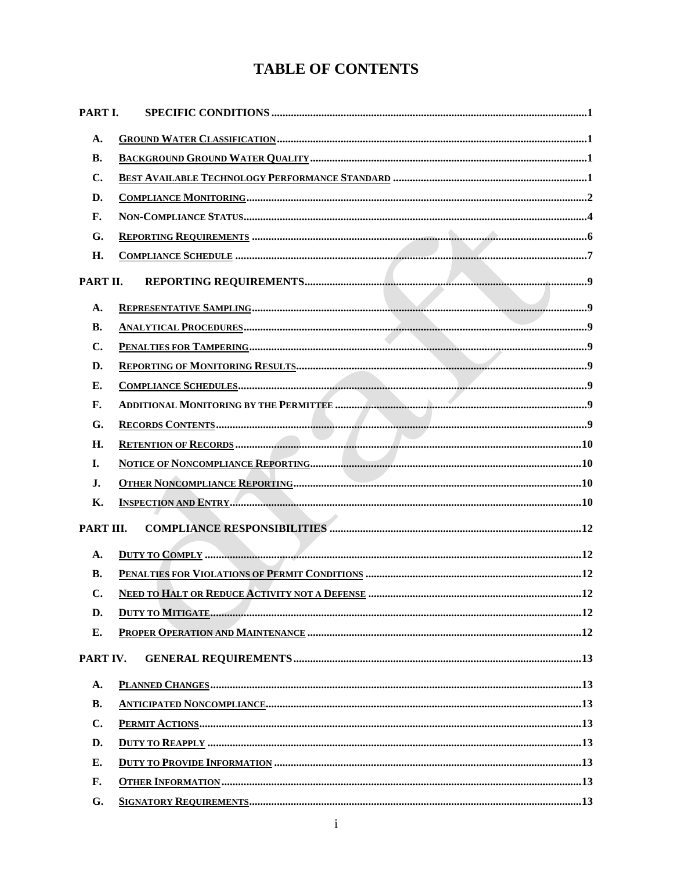# **TABLE OF CONTENTS**

| PART I.        |  |  |  |  |
|----------------|--|--|--|--|
| A.             |  |  |  |  |
| <b>B.</b>      |  |  |  |  |
| C.             |  |  |  |  |
| D.             |  |  |  |  |
| F.             |  |  |  |  |
| G.             |  |  |  |  |
| H.             |  |  |  |  |
| PART II.       |  |  |  |  |
| A.             |  |  |  |  |
| <b>B.</b>      |  |  |  |  |
| $\mathbf{C}$ . |  |  |  |  |
| D.             |  |  |  |  |
| Е.             |  |  |  |  |
| F.             |  |  |  |  |
| G.             |  |  |  |  |
| Н.             |  |  |  |  |
| I.             |  |  |  |  |
| J.             |  |  |  |  |
| Κ.             |  |  |  |  |
| PART III.      |  |  |  |  |
| A.             |  |  |  |  |
| <b>B.</b>      |  |  |  |  |
| C.             |  |  |  |  |
| D.             |  |  |  |  |
| E.             |  |  |  |  |
| PART IV.       |  |  |  |  |
| A.             |  |  |  |  |
| <b>B.</b>      |  |  |  |  |
| C.             |  |  |  |  |
| D.             |  |  |  |  |
| Е.             |  |  |  |  |
| F.             |  |  |  |  |
| G.             |  |  |  |  |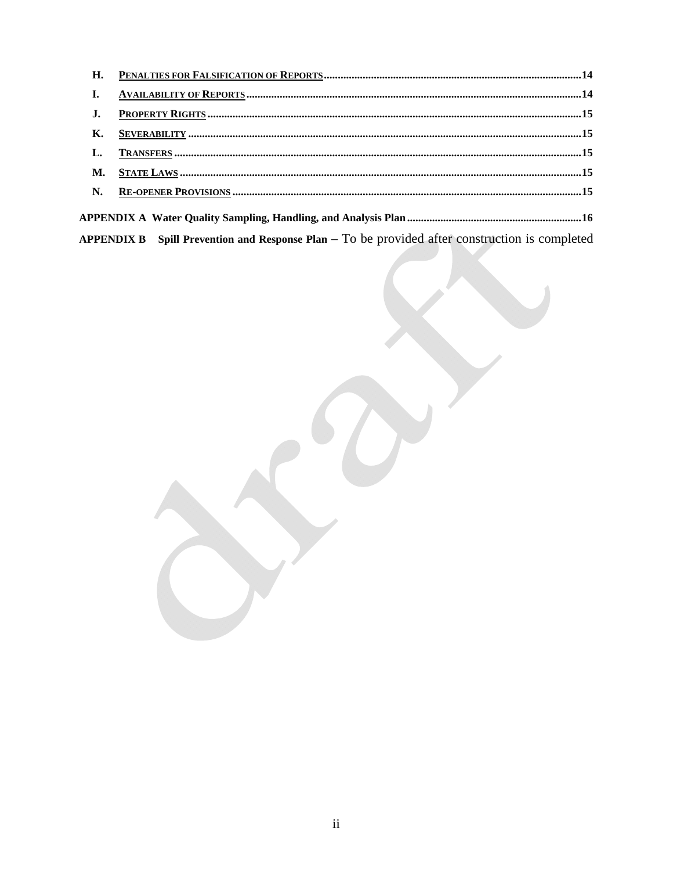| H. |                                                                                                  |  |
|----|--------------------------------------------------------------------------------------------------|--|
| I. |                                                                                                  |  |
| J. |                                                                                                  |  |
| К. |                                                                                                  |  |
| L. |                                                                                                  |  |
| M. |                                                                                                  |  |
| N. |                                                                                                  |  |
|    |                                                                                                  |  |
|    | APPENDIX B Spill Prevention and Response Plan $-$ To be provided after construction is completed |  |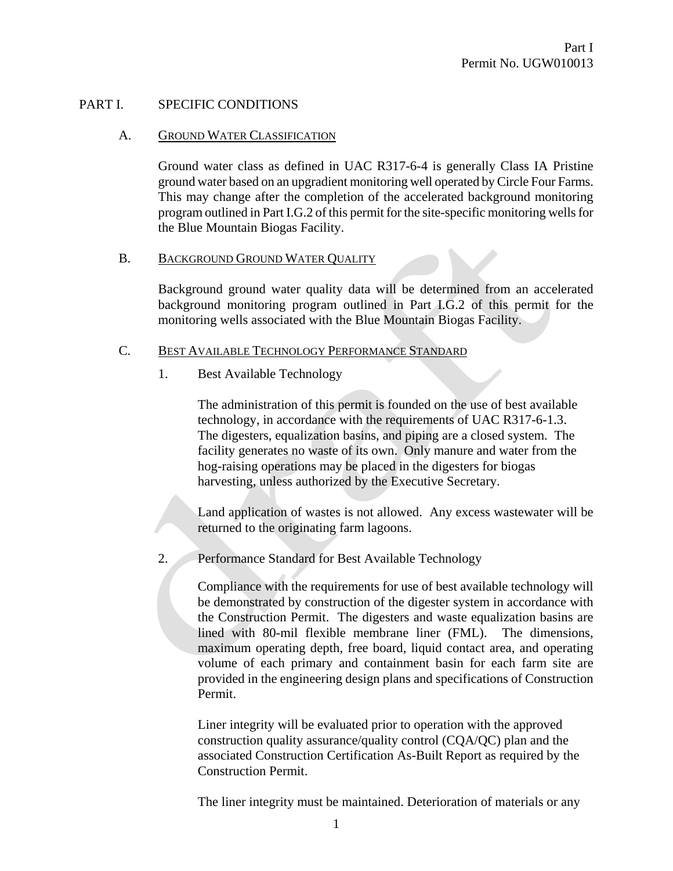#### PART I. SPECIFIC CONDITIONS

#### A. GROUND WATER CLASSIFICATION

Ground water class as defined in UAC R317-6-4 is generally Class IA Pristine ground water based on an upgradient monitoring well operated by Circle Four Farms. This may change after the completion of the accelerated background monitoring program outlined in Part I.G.2 of this permit for the site-specific monitoring wells for the Blue Mountain Biogas Facility.

#### B. BACKGROUND GROUND WATER QUALITY

Background ground water quality data will be determined from an accelerated background monitoring program outlined in Part I.G.2 of this permit for the monitoring wells associated with the Blue Mountain Biogas Facility.

#### C. BEST AVAILABLE TECHNOLOGY PERFORMANCE STANDARD

1. Best Available Technology

The administration of this permit is founded on the use of best available technology, in accordance with the requirements of UAC R317-6-1.3. The digesters, equalization basins, and piping are a closed system. The facility generates no waste of its own. Only manure and water from the hog-raising operations may be placed in the digesters for biogas harvesting, unless authorized by the Executive Secretary.

Land application of wastes is not allowed. Any excess wastewater will be returned to the originating farm lagoons.

2. Performance Standard for Best Available Technology

Compliance with the requirements for use of best available technology will be demonstrated by construction of the digester system in accordance with the Construction Permit. The digesters and waste equalization basins are lined with 80-mil flexible membrane liner (FML). The dimensions, maximum operating depth, free board, liquid contact area, and operating volume of each primary and containment basin for each farm site are provided in the engineering design plans and specifications of Construction Permit.

Liner integrity will be evaluated prior to operation with the approved construction quality assurance/quality control (CQA/QC) plan and the associated Construction Certification As-Built Report as required by the Construction Permit.

The liner integrity must be maintained. Deterioration of materials or any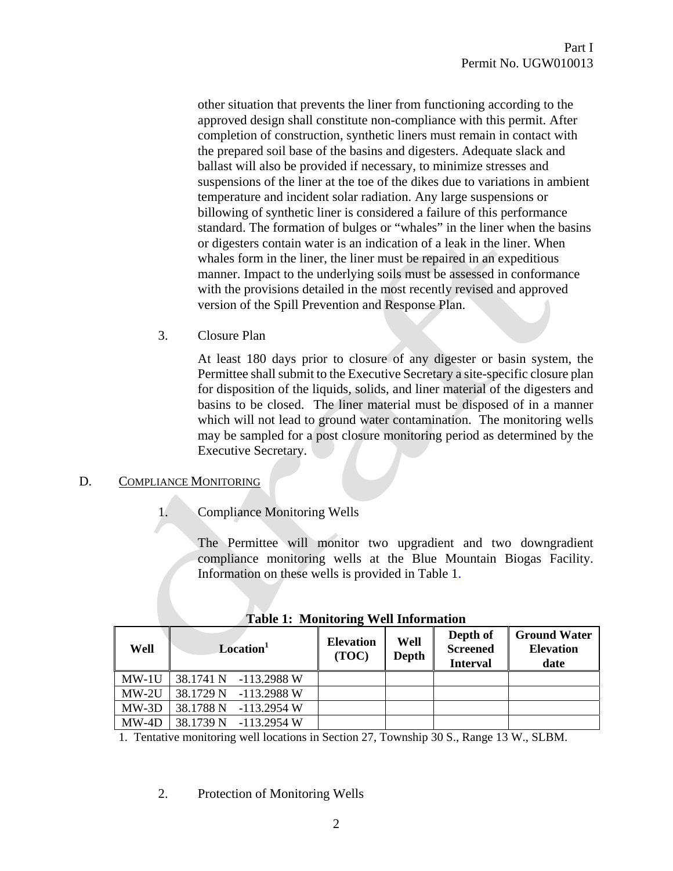other situation that prevents the liner from functioning according to the approved design shall constitute non-compliance with this permit. After completion of construction, synthetic liners must remain in contact with the prepared soil base of the basins and digesters. Adequate slack and ballast will also be provided if necessary, to minimize stresses and suspensions of the liner at the toe of the dikes due to variations in ambient temperature and incident solar radiation. Any large suspensions or billowing of synthetic liner is considered a failure of this performance standard. The formation of bulges or "whales" in the liner when the basins or digesters contain water is an indication of a leak in the liner. When whales form in the liner, the liner must be repaired in an expeditious manner. Impact to the underlying soils must be assessed in conformance with the provisions detailed in the most recently revised and approved version of the Spill Prevention and Response Plan.

3. Closure Plan

At least 180 days prior to closure of any digester or basin system, the Permittee shall submit to the Executive Secretary a site-specific closure plan for disposition of the liquids, solids, and liner material of the digesters and basins to be closed. The liner material must be disposed of in a manner which will not lead to ground water contamination. The monitoring wells may be sampled for a post closure monitoring period as determined by the Executive Secretary.

# D. COMPLIANCE MONITORING

1. Compliance Monitoring Wells

The Permittee will monitor two upgradient and two downgradient compliance monitoring wells at the Blue Mountain Biogas Facility. Information on these wells is provided in Table 1.

| Well    | Location <sup>1</sup>    | <b>Elevation</b><br>(TOC) | Well<br><b>Depth</b> | Depth of<br><b>Screened</b><br><b>Interval</b> | <b>Ground Water</b><br><b>Elevation</b><br>date |
|---------|--------------------------|---------------------------|----------------------|------------------------------------------------|-------------------------------------------------|
| $MW-1U$ | 38.1741 N<br>-113.2988 W |                           |                      |                                                |                                                 |
| $MW-2U$ | 38.1729 N<br>-113.2988 W |                           |                      |                                                |                                                 |
| $MW-3D$ | 38.1788 N<br>-113.2954 W |                           |                      |                                                |                                                 |
| $MW-4D$ | 38.1739 N<br>-113.2954 W |                           |                      |                                                |                                                 |

**Table 1: Monitoring Well Information** 

1. Tentative monitoring well locations in Section 27, Township 30 S., Range 13 W., SLBM.

2. Protection of Monitoring Wells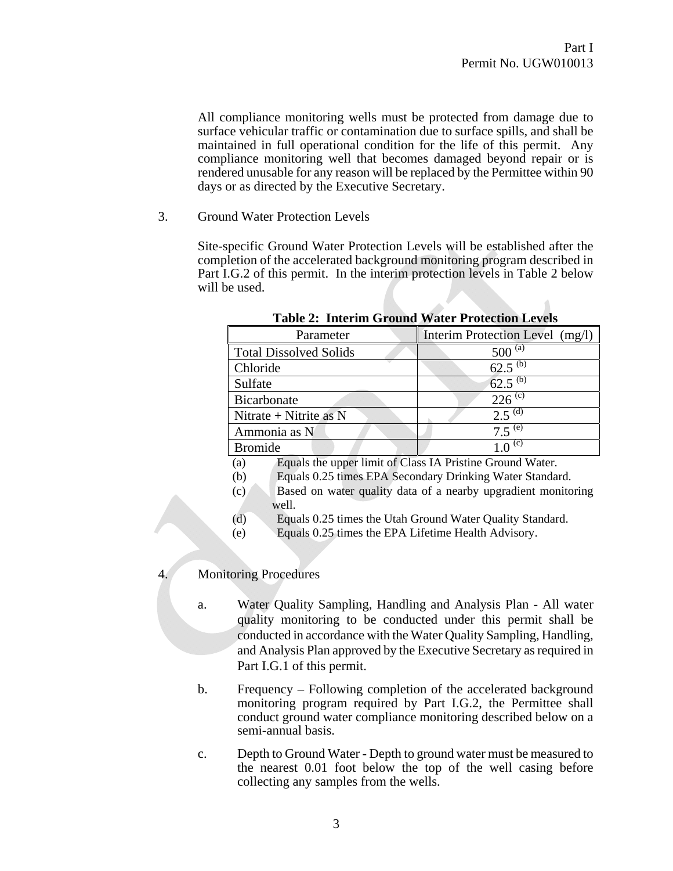All compliance monitoring wells must be protected from damage due to surface vehicular traffic or contamination due to surface spills, and shall be maintained in full operational condition for the life of this permit. Any compliance monitoring well that becomes damaged beyond repair or is rendered unusable for any reason will be replaced by the Permittee within 90 days or as directed by the Executive Secretary.

3. Ground Water Protection Levels

Site-specific Ground Water Protection Levels will be established after the completion of the accelerated background monitoring program described in Part I.G.2 of this permit. In the interim protection levels in Table 2 below will be used.

| Parameter                     | Interim Protection Level (mg/l) |
|-------------------------------|---------------------------------|
| <b>Total Dissolved Solids</b> | $500^{(a)}$                     |
| Chloride                      | 62.5 $(b)$                      |
| Sulfate                       | 62.5 $(b)$                      |
| Bicarbonate                   | $226$ <sup>(c)</sup>            |
| Nitrate + Nitrite as $N$      | $2.5^{(d)}$                     |
| Ammonia as N                  | $7.5^{(e)}$                     |
| <b>Bromide</b>                | (c)                             |

**Table 2: Interim Ground Water Protection Levels** 

- (a) Equals the upper limit of Class IA Pristine Ground Water.
- (b) Equals 0.25 times EPA Secondary Drinking Water Standard.
- (c) Based on water quality data of a nearby upgradient monitoring well.
- (d) Equals 0.25 times the Utah Ground Water Quality Standard.
- (e) Equals 0.25 times the EPA Lifetime Health Advisory.

#### 4. Monitoring Procedures

- a. Water Quality Sampling, Handling and Analysis Plan All water quality monitoring to be conducted under this permit shall be conducted in accordance with the Water Quality Sampling, Handling, and Analysis Plan approved by the Executive Secretary as required in Part I.G.1 of this permit.
- b. Frequency Following completion of the accelerated background monitoring program required by Part I.G.2, the Permittee shall conduct ground water compliance monitoring described below on a semi-annual basis.
- c. Depth to Ground Water Depth to ground water must be measured to the nearest 0.01 foot below the top of the well casing before collecting any samples from the wells.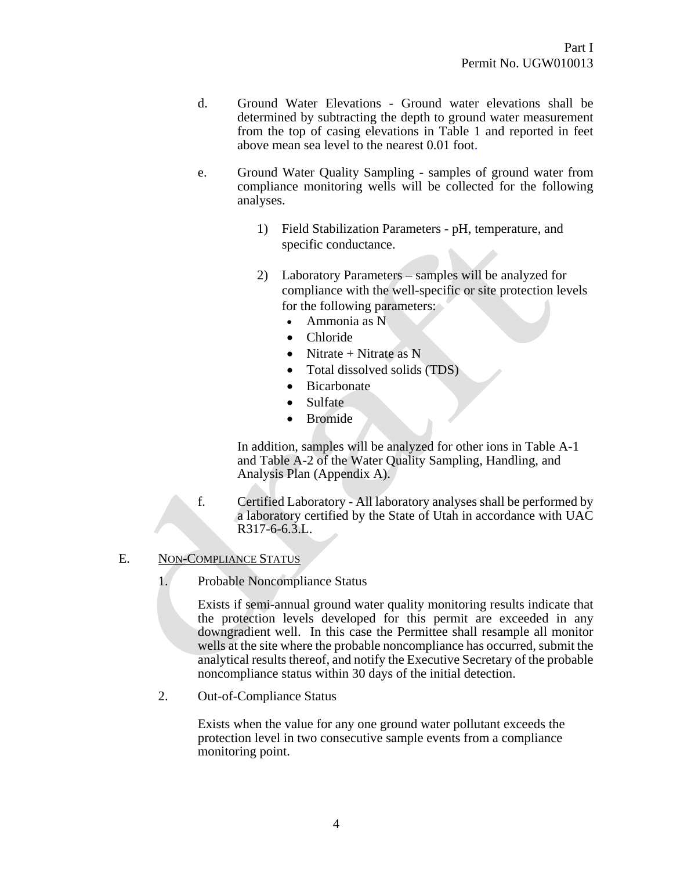- d. Ground Water Elevations Ground water elevations shall be determined by subtracting the depth to ground water measurement from the top of casing elevations in Table 1 and reported in feet above mean sea level to the nearest 0.01 foot.
- e. Ground Water Quality Sampling samples of ground water from compliance monitoring wells will be collected for the following analyses.
	- 1) Field Stabilization Parameters pH, temperature, and specific conductance.
	- 2) Laboratory Parameters samples will be analyzed for compliance with the well-specific or site protection levels for the following parameters:
		- Ammonia as N
		- Chloride
		- Nitrate + Nitrate as N
		- Total dissolved solids (TDS)
		- **Bicarbonate**
		- Sulfate
		- Bromide

In addition, samples will be analyzed for other ions in Table A-1 and Table A-2 of the Water Quality Sampling, Handling, and Analysis Plan (Appendix A).

f. Certified Laboratory - All laboratory analyses shall be performed by a laboratory certified by the State of Utah in accordance with UAC R317-6-6.3.L.

#### E. NON-COMPLIANCE STATUS

1. Probable Noncompliance Status

Exists if semi-annual ground water quality monitoring results indicate that the protection levels developed for this permit are exceeded in any downgradient well. In this case the Permittee shall resample all monitor wells at the site where the probable noncompliance has occurred, submit the analytical results thereof, and notify the Executive Secretary of the probable noncompliance status within 30 days of the initial detection.

2. Out-of-Compliance Status

Exists when the value for any one ground water pollutant exceeds the protection level in two consecutive sample events from a compliance monitoring point.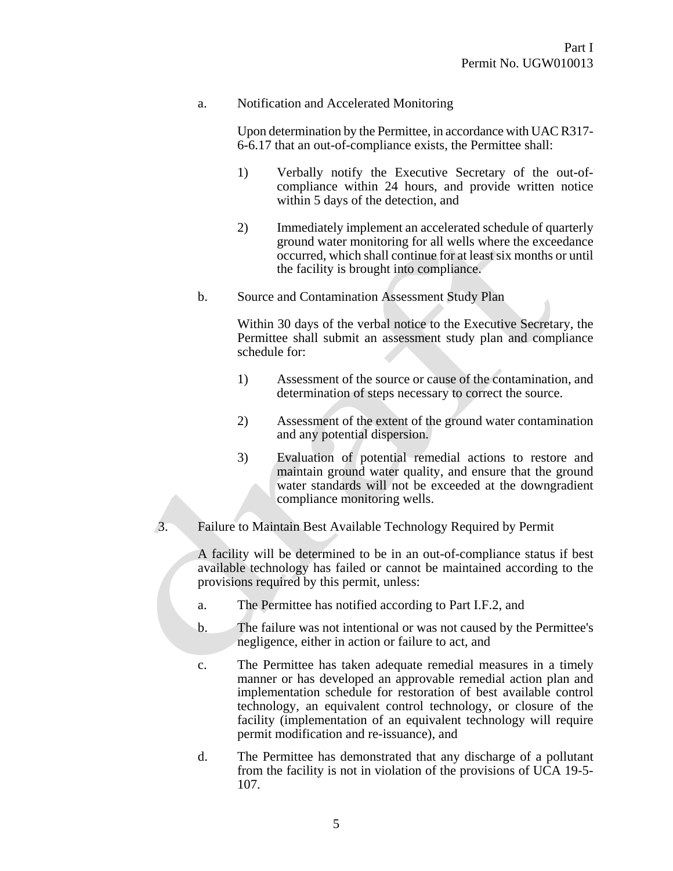## a. Notification and Accelerated Monitoring

Upon determination by the Permittee, in accordance with UAC R317- 6-6.17 that an out-of-compliance exists, the Permittee shall:

- 1) Verbally notify the Executive Secretary of the out-ofcompliance within 24 hours, and provide written notice within 5 days of the detection, and
- 2) Immediately implement an accelerated schedule of quarterly ground water monitoring for all wells where the exceedance occurred, which shall continue for at least six months or until the facility is brought into compliance.
- b. Source and Contamination Assessment Study Plan

Within 30 days of the verbal notice to the Executive Secretary, the Permittee shall submit an assessment study plan and compliance schedule for:

- 1) Assessment of the source or cause of the contamination, and determination of steps necessary to correct the source.
- 2) Assessment of the extent of the ground water contamination and any potential dispersion.
- 3) Evaluation of potential remedial actions to restore and maintain ground water quality, and ensure that the ground water standards will not be exceeded at the downgradient compliance monitoring wells.
- 3. Failure to Maintain Best Available Technology Required by Permit

A facility will be determined to be in an out-of-compliance status if best available technology has failed or cannot be maintained according to the provisions required by this permit, unless:

- a. The Permittee has notified according to Part I.F.2, and
- b. The failure was not intentional or was not caused by the Permittee's negligence, either in action or failure to act, and
- c. The Permittee has taken adequate remedial measures in a timely manner or has developed an approvable remedial action plan and implementation schedule for restoration of best available control technology, an equivalent control technology, or closure of the facility (implementation of an equivalent technology will require permit modification and re-issuance), and
- d. The Permittee has demonstrated that any discharge of a pollutant from the facility is not in violation of the provisions of UCA 19-5- 107.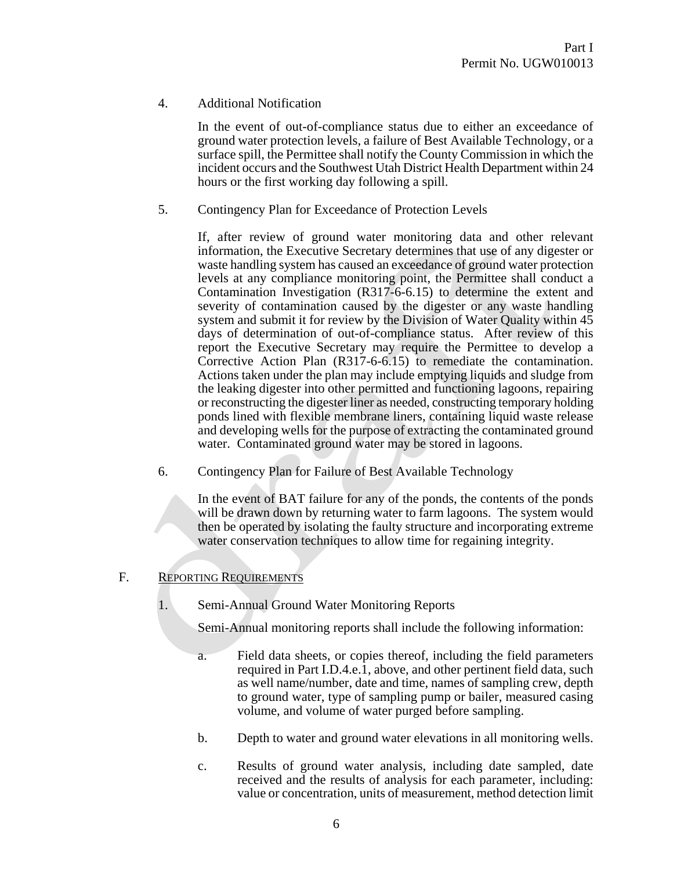4. Additional Notification

In the event of out-of-compliance status due to either an exceedance of ground water protection levels, a failure of Best Available Technology, or a surface spill, the Permittee shall notify the County Commission in which the incident occurs and the Southwest Utah District Health Department within 24 hours or the first working day following a spill.

5. Contingency Plan for Exceedance of Protection Levels

If, after review of ground water monitoring data and other relevant information, the Executive Secretary determines that use of any digester or waste handling system has caused an exceedance of ground water protection levels at any compliance monitoring point, the Permittee shall conduct a Contamination Investigation (R317-6-6.15) to determine the extent and severity of contamination caused by the digester or any waste handling system and submit it for review by the Division of Water Quality within 45 days of determination of out-of-compliance status. After review of this report the Executive Secretary may require the Permittee to develop a Corrective Action Plan (R317-6-6.15) to remediate the contamination. Actions taken under the plan may include emptying liquids and sludge from the leaking digester into other permitted and functioning lagoons, repairing or reconstructing the digester liner as needed, constructing temporary holding ponds lined with flexible membrane liners, containing liquid waste release and developing wells for the purpose of extracting the contaminated ground water. Contaminated ground water may be stored in lagoons.

6. Contingency Plan for Failure of Best Available Technology

In the event of BAT failure for any of the ponds, the contents of the ponds will be drawn down by returning water to farm lagoons. The system would then be operated by isolating the faulty structure and incorporating extreme water conservation techniques to allow time for regaining integrity.

# F. REPORTING REQUIREMENTS

1. Semi-Annual Ground Water Monitoring Reports

Semi-Annual monitoring reports shall include the following information:

- a. Field data sheets, or copies thereof, including the field parameters required in Part I.D.4.e.1, above, and other pertinent field data, such as well name/number, date and time, names of sampling crew, depth to ground water, type of sampling pump or bailer, measured casing volume, and volume of water purged before sampling.
- b. Depth to water and ground water elevations in all monitoring wells.
- c. Results of ground water analysis, including date sampled, date received and the results of analysis for each parameter, including: value or concentration, units of measurement, method detection limit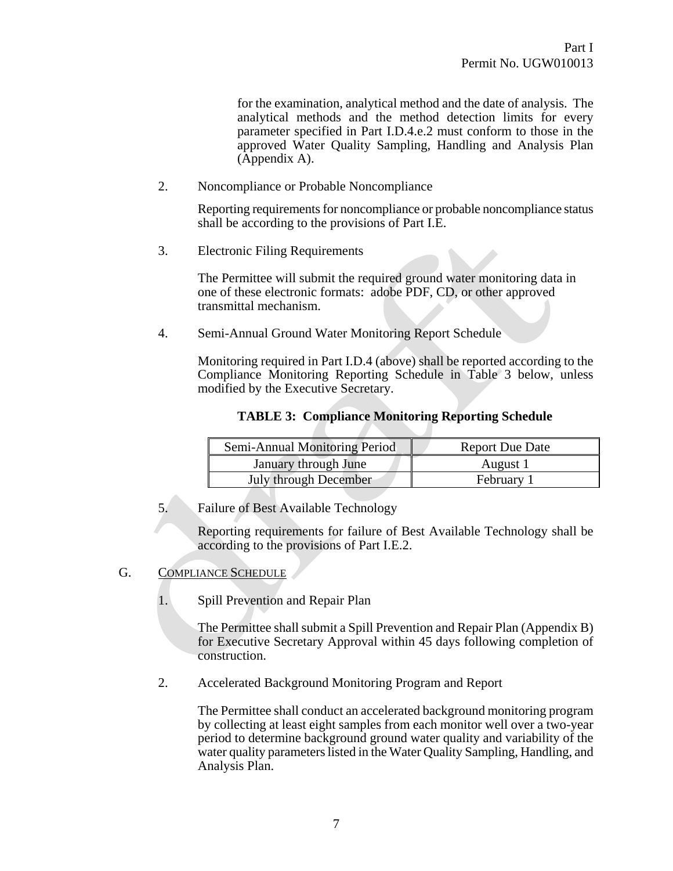for the examination, analytical method and the date of analysis. The analytical methods and the method detection limits for every parameter specified in Part I.D.4.e.2 must conform to those in the approved Water Quality Sampling, Handling and Analysis Plan (Appendix A).

2. Noncompliance or Probable Noncompliance

Reporting requirements for noncompliance or probable noncompliance status shall be according to the provisions of Part I.E.

3. Electronic Filing Requirements

The Permittee will submit the required ground water monitoring data in one of these electronic formats: adobe PDF, CD, or other approved transmittal mechanism.

4. Semi-Annual Ground Water Monitoring Report Schedule

Monitoring required in Part I.D.4 (above) shall be reported according to the Compliance Monitoring Reporting Schedule in Table 3 below, unless modified by the Executive Secretary.

| <b>TABLE 3: Compliance Monitoring Reporting Schedule</b> |  |  |  |
|----------------------------------------------------------|--|--|--|
|                                                          |  |  |  |

| Semi-Annual Monitoring Period | <b>Report Due Date</b> |  |  |
|-------------------------------|------------------------|--|--|
| January through June          | August 1               |  |  |
| <b>July through December</b>  | February 1             |  |  |

5. Failure of Best Available Technology

Reporting requirements for failure of Best Available Technology shall be according to the provisions of Part I.E.2.

- G. COMPLIANCE SCHEDULE
	- 1. Spill Prevention and Repair Plan

The Permittee shall submit a Spill Prevention and Repair Plan (Appendix B) for Executive Secretary Approval within 45 days following completion of construction.

2. Accelerated Background Monitoring Program and Report

The Permittee shall conduct an accelerated background monitoring program by collecting at least eight samples from each monitor well over a two-year period to determine background ground water quality and variability of the water quality parameters listed in the Water Quality Sampling, Handling, and Analysis Plan.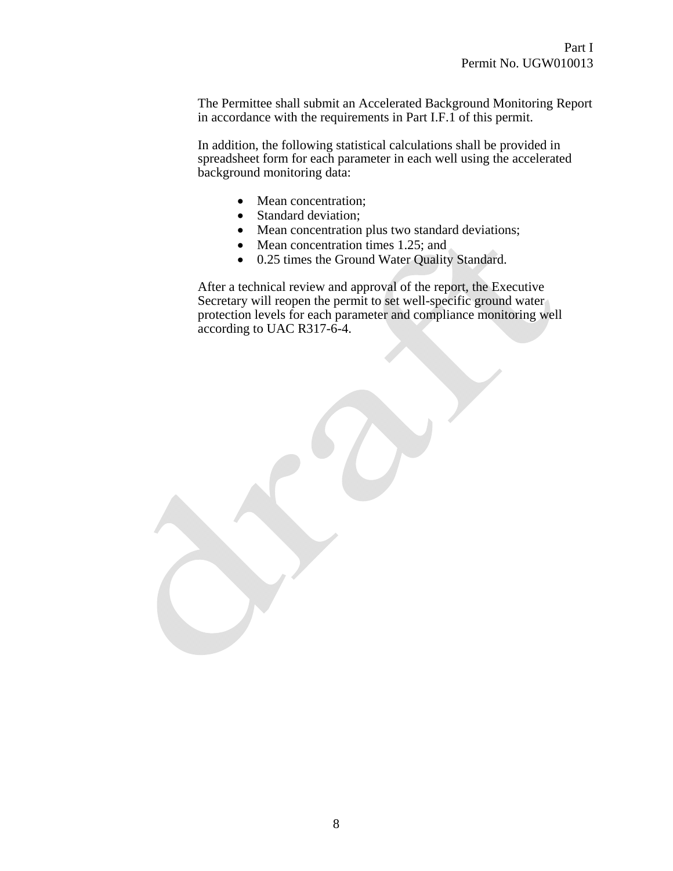The Permittee shall submit an Accelerated Background Monitoring Report in accordance with the requirements in Part I.F.1 of this permit.

In addition, the following statistical calculations shall be provided in spreadsheet form for each parameter in each well using the accelerated background monitoring data:

- Mean concentration;
- Standard deviation;
- Mean concentration plus two standard deviations;
- Mean concentration times 1.25; and
- 0.25 times the Ground Water Quality Standard.

After a technical review and approval of the report, the Executive Secretary will reopen the permit to set well-specific ground water protection levels for each parameter and compliance monitoring well according to UAC R317-6-4.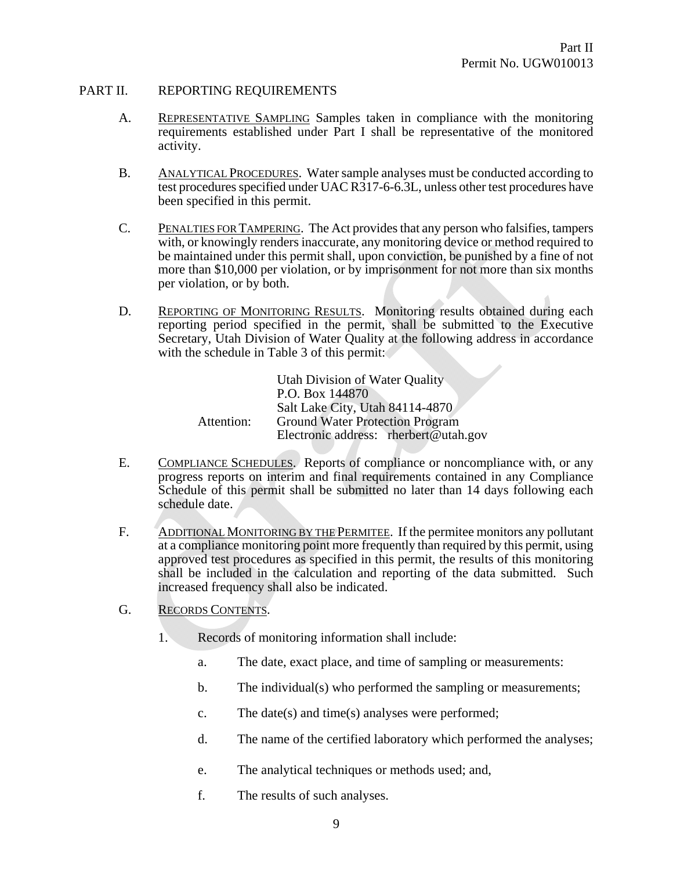#### PART II. REPORTING REQUIREMENTS

- A. REPRESENTATIVE SAMPLING Samples taken in compliance with the monitoring requirements established under Part I shall be representative of the monitored activity.
- B. ANALYTICAL PROCEDURES. Water sample analyses must be conducted according to test procedures specified under UAC R317-6-6.3L, unless other test procedures have been specified in this permit.
- C. PENALTIES FOR TAMPERING. The Act provides that any person who falsifies, tampers with, or knowingly renders inaccurate, any monitoring device or method required to be maintained under this permit shall, upon conviction, be punished by a fine of not more than \$10,000 per violation, or by imprisonment for not more than six months per violation, or by both.
- D. REPORTING OF MONITORING RESULTS. Monitoring results obtained during each reporting period specified in the permit, shall be submitted to the Executive Secretary, Utah Division of Water Quality at the following address in accordance with the schedule in Table 3 of this permit:

|            | Utah Division of Water Quality         |
|------------|----------------------------------------|
|            | P.O. Box 144870                        |
|            | Salt Lake City, Utah 84114-4870        |
| Attention: | <b>Ground Water Protection Program</b> |
|            | Electronic address: rherbert@utah.gov  |

- E. COMPLIANCE SCHEDULES. Reports of compliance or noncompliance with, or any progress reports on interim and final requirements contained in any Compliance Schedule of this permit shall be submitted no later than 14 days following each schedule date.
- F. ADDITIONAL MONITORING BY THE PERMITEE. If the permitee monitors any pollutant at a compliance monitoring point more frequently than required by this permit, using approved test procedures as specified in this permit, the results of this monitoring shall be included in the calculation and reporting of the data submitted. Such increased frequency shall also be indicated.
- G. RECORDS CONTENTS.
	- 1. Records of monitoring information shall include:
		- a. The date, exact place, and time of sampling or measurements:
		- b. The individual(s) who performed the sampling or measurements;
		- c. The date(s) and time(s) analyses were performed;
		- d. The name of the certified laboratory which performed the analyses;
		- e. The analytical techniques or methods used; and,
		- f. The results of such analyses.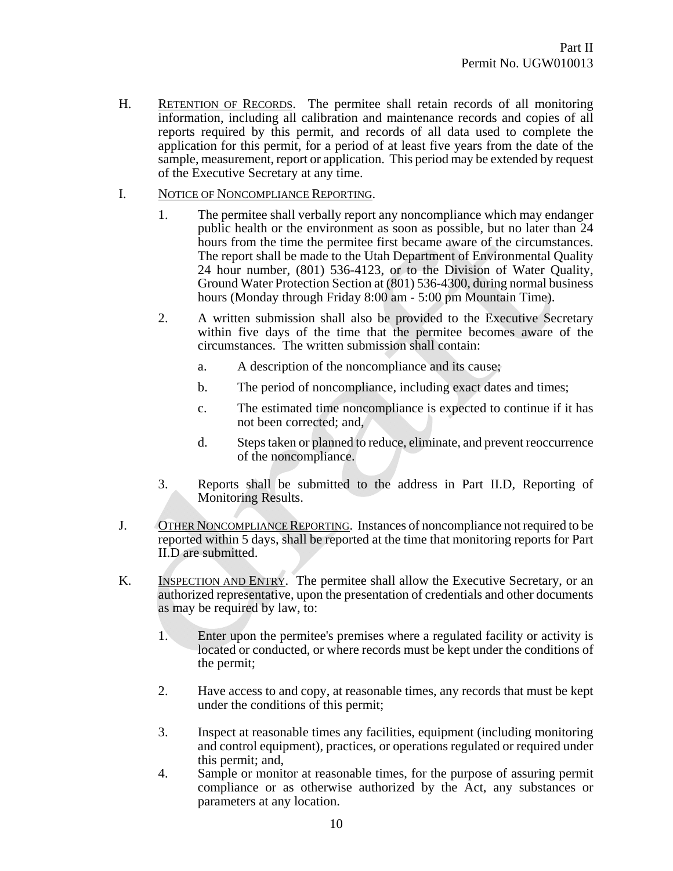- H. RETENTION OF RECORDS. The permitee shall retain records of all monitoring information, including all calibration and maintenance records and copies of all reports required by this permit, and records of all data used to complete the application for this permit, for a period of at least five years from the date of the sample, measurement, report or application. This period may be extended by request of the Executive Secretary at any time.
- I. NOTICE OF NONCOMPLIANCE REPORTING.
	- 1. The permitee shall verbally report any noncompliance which may endanger public health or the environment as soon as possible, but no later than 24 hours from the time the permitee first became aware of the circumstances. The report shall be made to the Utah Department of Environmental Quality 24 hour number, (801) 536-4123, or to the Division of Water Quality, Ground Water Protection Section at (801) 536-4300, during normal business hours (Monday through Friday 8:00 am - 5:00 pm Mountain Time).
	- 2. A written submission shall also be provided to the Executive Secretary within five days of the time that the permitee becomes aware of the circumstances. The written submission shall contain:
		- a. A description of the noncompliance and its cause;
		- b. The period of noncompliance, including exact dates and times;
		- c. The estimated time noncompliance is expected to continue if it has not been corrected; and,
		- d. Steps taken or planned to reduce, eliminate, and prevent reoccurrence of the noncompliance.
	- 3. Reports shall be submitted to the address in Part II.D, Reporting of Monitoring Results.
- J. OTHER NONCOMPLIANCE REPORTING. Instances of noncompliance not required to be reported within 5 days, shall be reported at the time that monitoring reports for Part II.D are submitted.
- K. INSPECTION AND ENTRY. The permitee shall allow the Executive Secretary, or an authorized representative, upon the presentation of credentials and other documents as may be required by law, to:
	- 1. Enter upon the permitee's premises where a regulated facility or activity is located or conducted, or where records must be kept under the conditions of the permit;
	- 2. Have access to and copy, at reasonable times, any records that must be kept under the conditions of this permit;
	- 3. Inspect at reasonable times any facilities, equipment (including monitoring and control equipment), practices, or operations regulated or required under this permit; and,
	- 4. Sample or monitor at reasonable times, for the purpose of assuring permit compliance or as otherwise authorized by the Act, any substances or parameters at any location.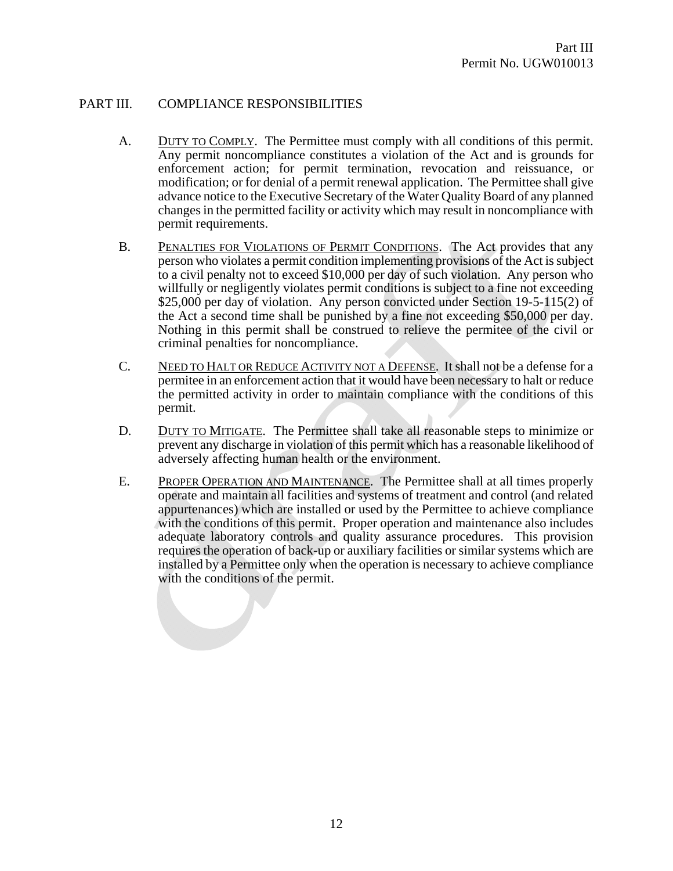## PART III. COMPLIANCE RESPONSIBILITIES

- A. DUTY TO COMPLY. The Permittee must comply with all conditions of this permit. Any permit noncompliance constitutes a violation of the Act and is grounds for enforcement action; for permit termination, revocation and reissuance, or modification; or for denial of a permit renewal application. The Permittee shall give advance notice to the Executive Secretary of the Water Quality Board of any planned changes in the permitted facility or activity which may result in noncompliance with permit requirements.
- B. PENALTIES FOR VIOLATIONS OF PERMIT CONDITIONS. The Act provides that any person who violates a permit condition implementing provisions of the Act is subject to a civil penalty not to exceed \$10,000 per day of such violation. Any person who willfully or negligently violates permit conditions is subject to a fine not exceeding \$25,000 per day of violation. Any person convicted under Section 19-5-115(2) of the Act a second time shall be punished by a fine not exceeding \$50,000 per day. Nothing in this permit shall be construed to relieve the permitee of the civil or criminal penalties for noncompliance.
- C. NEED TO HALT OR REDUCE ACTIVITY NOT A DEFENSE. It shall not be a defense for a permitee in an enforcement action that it would have been necessary to halt or reduce the permitted activity in order to maintain compliance with the conditions of this permit.
- D. DUTY TO MITIGATE. The Permittee shall take all reasonable steps to minimize or prevent any discharge in violation of this permit which has a reasonable likelihood of adversely affecting human health or the environment.
- E. PROPER OPERATION AND MAINTENANCE. The Permittee shall at all times properly operate and maintain all facilities and systems of treatment and control (and related appurtenances) which are installed or used by the Permittee to achieve compliance with the conditions of this permit. Proper operation and maintenance also includes adequate laboratory controls and quality assurance procedures. This provision requires the operation of back-up or auxiliary facilities or similar systems which are installed by a Permittee only when the operation is necessary to achieve compliance with the conditions of the permit.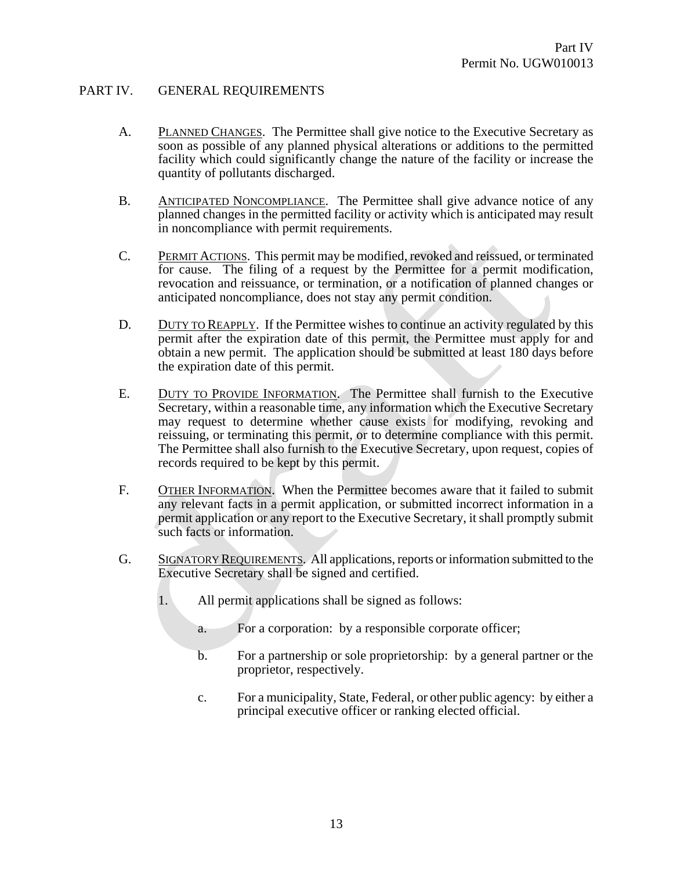# PART IV. GENERAL REQUIREMENTS

- A. PLANNED CHANGES. The Permittee shall give notice to the Executive Secretary as soon as possible of any planned physical alterations or additions to the permitted facility which could significantly change the nature of the facility or increase the quantity of pollutants discharged.
- B. ANTICIPATED NONCOMPLIANCE. The Permittee shall give advance notice of any planned changes in the permitted facility or activity which is anticipated may result in noncompliance with permit requirements.
- C. PERMIT ACTIONS. This permit may be modified, revoked and reissued, or terminated for cause. The filing of a request by the Permittee for a permit modification, revocation and reissuance, or termination, or a notification of planned changes or anticipated noncompliance, does not stay any permit condition.
- D. DUTY TO REAPPLY. If the Permittee wishes to continue an activity regulated by this permit after the expiration date of this permit, the Permittee must apply for and obtain a new permit. The application should be submitted at least 180 days before the expiration date of this permit.
- E. DUTY TO PROVIDE INFORMATION. The Permittee shall furnish to the Executive Secretary, within a reasonable time, any information which the Executive Secretary may request to determine whether cause exists for modifying, revoking and reissuing, or terminating this permit, or to determine compliance with this permit. The Permittee shall also furnish to the Executive Secretary, upon request, copies of records required to be kept by this permit.
- F. OTHER INFORMATION. When the Permittee becomes aware that it failed to submit any relevant facts in a permit application, or submitted incorrect information in a permit application or any report to the Executive Secretary, it shall promptly submit such facts or information.
- G. SIGNATORY REQUIREMENTS. All applications, reports or information submitted to the Executive Secretary shall be signed and certified.
	- 1. All permit applications shall be signed as follows:
		- a. For a corporation: by a responsible corporate officer;
		- b. For a partnership or sole proprietorship: by a general partner or the proprietor, respectively.
		- c. For a municipality, State, Federal, or other public agency: by either a principal executive officer or ranking elected official.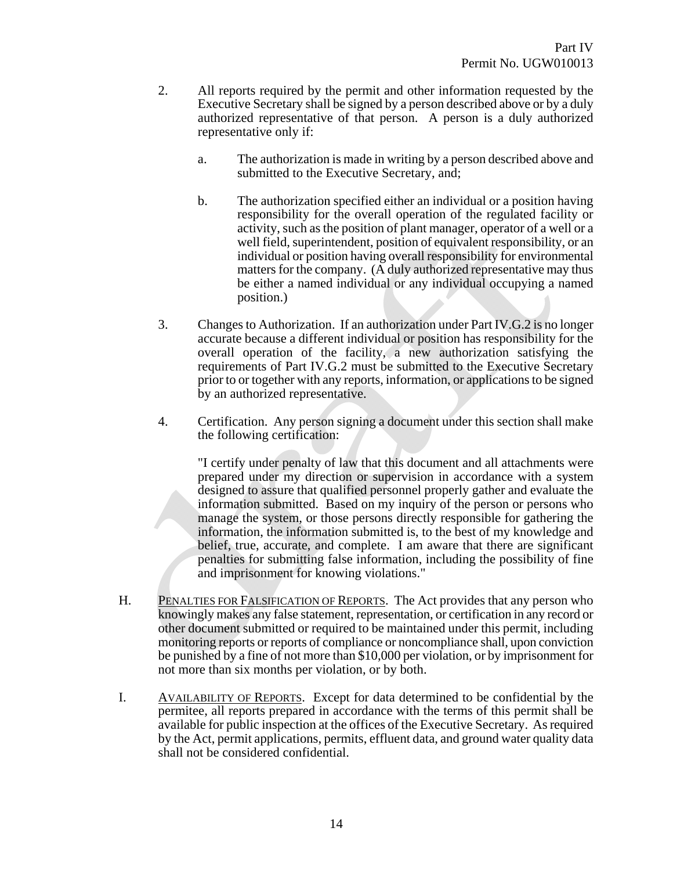- 2. All reports required by the permit and other information requested by the Executive Secretary shall be signed by a person described above or by a duly authorized representative of that person. A person is a duly authorized representative only if:
	- a. The authorization is made in writing by a person described above and submitted to the Executive Secretary, and;
	- b. The authorization specified either an individual or a position having responsibility for the overall operation of the regulated facility or activity, such as the position of plant manager, operator of a well or a well field, superintendent, position of equivalent responsibility, or an individual or position having overall responsibility for environmental matters for the company. (A duly authorized representative may thus be either a named individual or any individual occupying a named position.)
- 3. Changes to Authorization. If an authorization under Part IV.G.2 is no longer accurate because a different individual or position has responsibility for the overall operation of the facility, a new authorization satisfying the requirements of Part IV.G.2 must be submitted to the Executive Secretary prior to or together with any reports, information, or applications to be signed by an authorized representative.
- 4. Certification. Any person signing a document under this section shall make the following certification:

"I certify under penalty of law that this document and all attachments were prepared under my direction or supervision in accordance with a system designed to assure that qualified personnel properly gather and evaluate the information submitted. Based on my inquiry of the person or persons who manage the system, or those persons directly responsible for gathering the information, the information submitted is, to the best of my knowledge and belief, true, accurate, and complete. I am aware that there are significant penalties for submitting false information, including the possibility of fine and imprisonment for knowing violations."

- H. PENALTIES FOR FALSIFICATION OF REPORTS. The Act provides that any person who knowingly makes any false statement, representation, or certification in any record or other document submitted or required to be maintained under this permit, including monitoring reports or reports of compliance or noncompliance shall, upon conviction be punished by a fine of not more than \$10,000 per violation, or by imprisonment for not more than six months per violation, or by both.
- I. AVAILABILITY OF REPORTS. Except for data determined to be confidential by the permitee, all reports prepared in accordance with the terms of this permit shall be available for public inspection at the offices of the Executive Secretary. As required by the Act, permit applications, permits, effluent data, and ground water quality data shall not be considered confidential.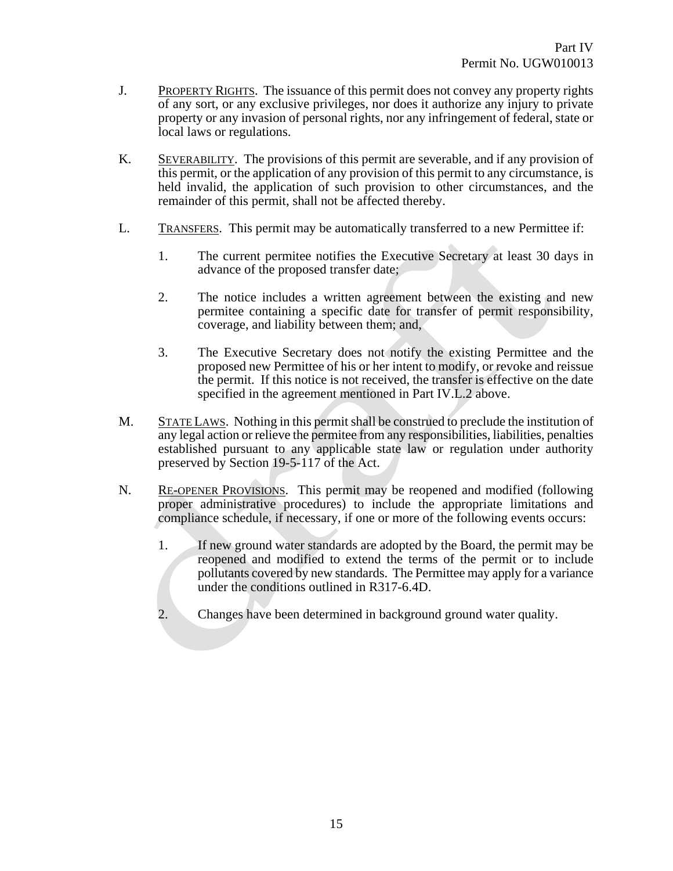- J. PROPERTY RIGHTS. The issuance of this permit does not convey any property rights of any sort, or any exclusive privileges, nor does it authorize any injury to private property or any invasion of personal rights, nor any infringement of federal, state or local laws or regulations.
- K. SEVERABILITY. The provisions of this permit are severable, and if any provision of this permit, or the application of any provision of this permit to any circumstance, is held invalid, the application of such provision to other circumstances, and the remainder of this permit, shall not be affected thereby.
- L. TRANSFERS. This permit may be automatically transferred to a new Permittee if:
	- 1. The current permitee notifies the Executive Secretary at least 30 days in advance of the proposed transfer date;
	- 2. The notice includes a written agreement between the existing and new permitee containing a specific date for transfer of permit responsibility, coverage, and liability between them; and,
	- 3. The Executive Secretary does not notify the existing Permittee and the proposed new Permittee of his or her intent to modify, or revoke and reissue the permit. If this notice is not received, the transfer is effective on the date specified in the agreement mentioned in Part IV.L.2 above.
- M. STATE LAWS. Nothing in this permit shall be construed to preclude the institution of any legal action or relieve the permitee from any responsibilities, liabilities, penalties established pursuant to any applicable state law or regulation under authority preserved by Section 19-5-117 of the Act.
- N. RE-OPENER PROVISIONS. This permit may be reopened and modified (following proper administrative procedures) to include the appropriate limitations and compliance schedule, if necessary, if one or more of the following events occurs:
	- 1. If new ground water standards are adopted by the Board, the permit may be reopened and modified to extend the terms of the permit or to include pollutants covered by new standards. The Permittee may apply for a variance under the conditions outlined in R317-6.4D.
	- 2. Changes have been determined in background ground water quality.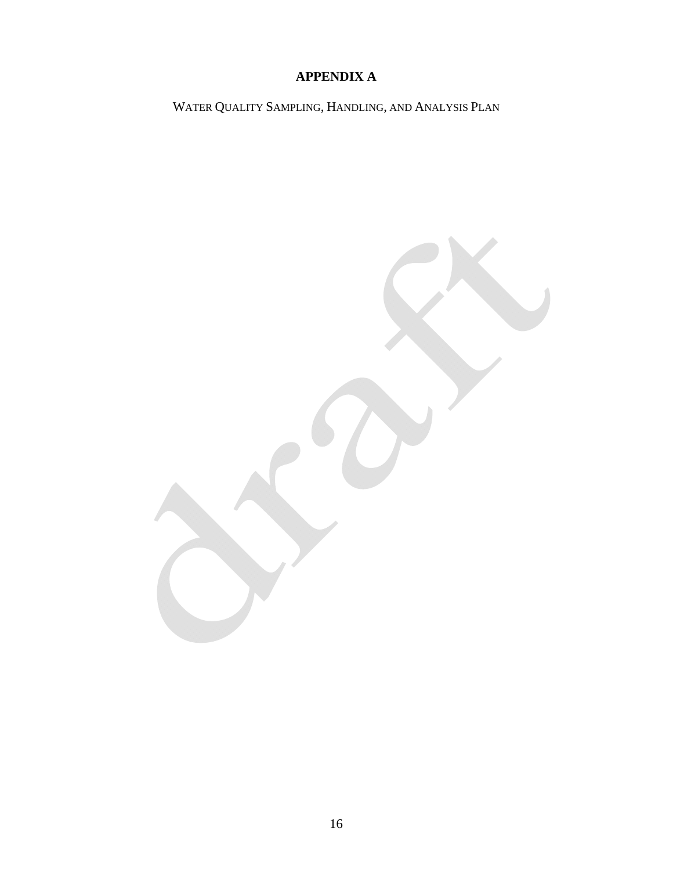# **APPENDIX A**

WATER QUALITY SAMPLING, HANDLING, AND ANALYSIS PLAN